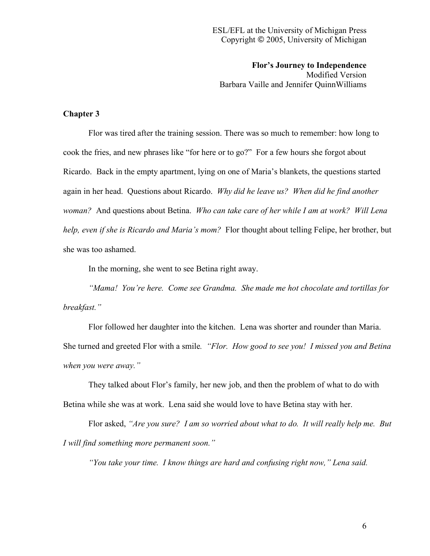**Flor's Journey to Independence** Modified Version Barbara Vaille and Jennifer QuinnWilliams

## **Chapter 3**

Flor was tired after the training session. There was so much to remember: how long to cook the fries, and new phrases like "for here or to go?" For a few hours she forgot about Ricardo. Back in the empty apartment, lying on one of Maria's blankets, the questions started again in her head. Questions about Ricardo. *Why did he leave us? When did he find another woman?* And questions about Betina. *Who can take care of her while I am at work? Will Lena help, even if she is Ricardo and Maria's mom?* Flor thought about telling Felipe, her brother, but she was too ashamed.

In the morning, she went to see Betina right away.

*"Mama! You're here. Come see Grandma. She made me hot chocolate and tortillas for breakfast."*

Flor followed her daughter into the kitchen. Lena was shorter and rounder than Maria. She turned and greeted Flor with a smile*. "Flor. How good to see you! I missed you and Betina when you were away."*

They talked about Flor's family, her new job, and then the problem of what to do with Betina while she was at work. Lena said she would love to have Betina stay with her.

Flor asked, *"Are you sure? I am so worried about what to do. It will really help me. But I will find something more permanent soon."*

*"You take your time. I know things are hard and confusing right now," Lena said.*